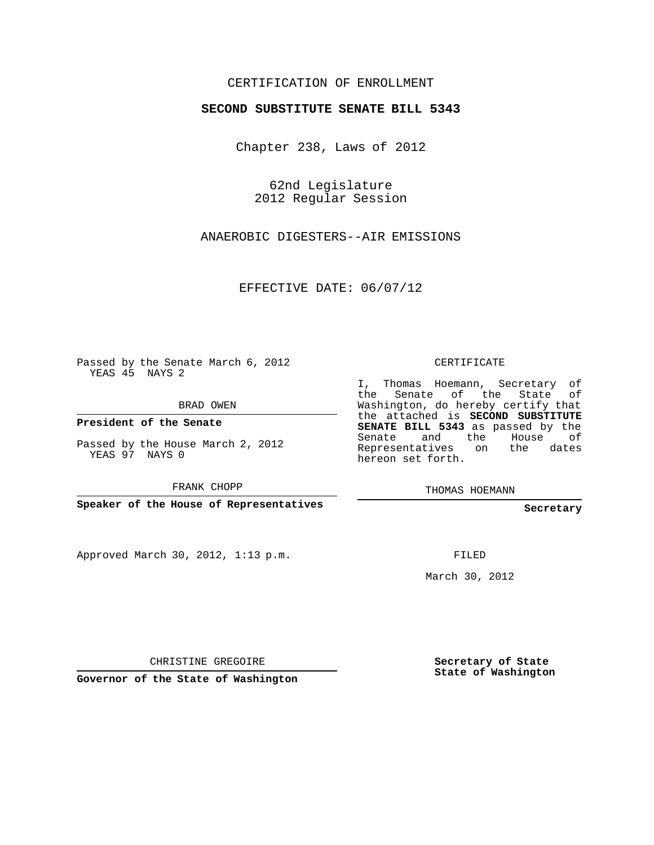## CERTIFICATION OF ENROLLMENT

## **SECOND SUBSTITUTE SENATE BILL 5343**

Chapter 238, Laws of 2012

62nd Legislature 2012 Regular Session

ANAEROBIC DIGESTERS--AIR EMISSIONS

EFFECTIVE DATE: 06/07/12

Passed by the Senate March 6, 2012 YEAS 45 NAYS 2

BRAD OWEN

**President of the Senate**

Passed by the House March 2, 2012 YEAS 97 NAYS 0

FRANK CHOPP

**Speaker of the House of Representatives**

Approved March 30, 2012, 1:13 p.m.

CERTIFICATE

I, Thomas Hoemann, Secretary of the Senate of the State of Washington, do hereby certify that the attached is **SECOND SUBSTITUTE SENATE BILL 5343** as passed by the Senate and the House of Representatives on the dates hereon set forth.

THOMAS HOEMANN

**Secretary**

FILED

March 30, 2012

CHRISTINE GREGOIRE

**Governor of the State of Washington**

**Secretary of State State of Washington**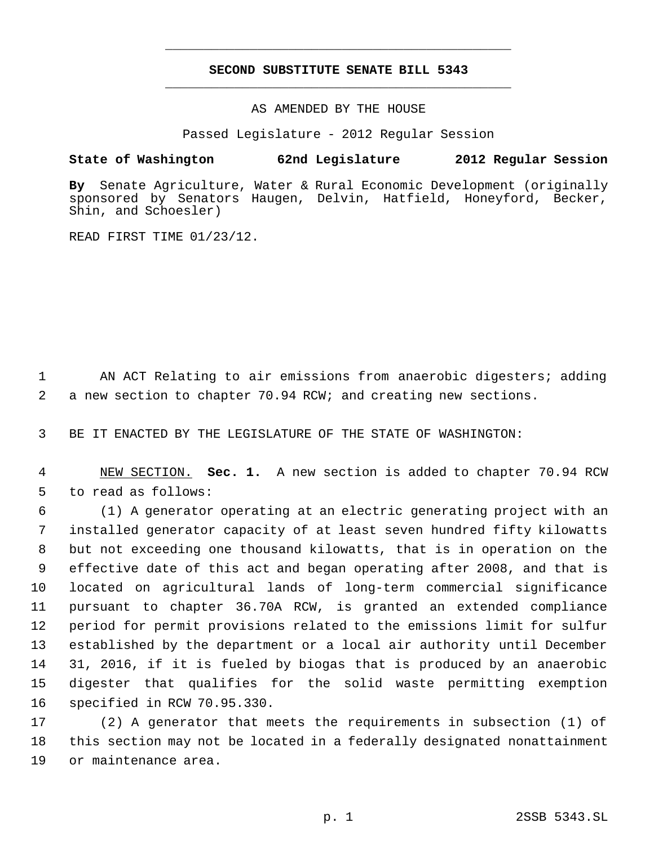## **SECOND SUBSTITUTE SENATE BILL 5343** \_\_\_\_\_\_\_\_\_\_\_\_\_\_\_\_\_\_\_\_\_\_\_\_\_\_\_\_\_\_\_\_\_\_\_\_\_\_\_\_\_\_\_\_\_

\_\_\_\_\_\_\_\_\_\_\_\_\_\_\_\_\_\_\_\_\_\_\_\_\_\_\_\_\_\_\_\_\_\_\_\_\_\_\_\_\_\_\_\_\_

AS AMENDED BY THE HOUSE

Passed Legislature - 2012 Regular Session

## **State of Washington 62nd Legislature 2012 Regular Session**

**By** Senate Agriculture, Water & Rural Economic Development (originally sponsored by Senators Haugen, Delvin, Hatfield, Honeyford, Becker, Shin, and Schoesler)

READ FIRST TIME 01/23/12.

 AN ACT Relating to air emissions from anaerobic digesters; adding a new section to chapter 70.94 RCW; and creating new sections.

BE IT ENACTED BY THE LEGISLATURE OF THE STATE OF WASHINGTON:

 NEW SECTION. **Sec. 1.** A new section is added to chapter 70.94 RCW to read as follows:

 (1) A generator operating at an electric generating project with an installed generator capacity of at least seven hundred fifty kilowatts but not exceeding one thousand kilowatts, that is in operation on the effective date of this act and began operating after 2008, and that is located on agricultural lands of long-term commercial significance pursuant to chapter 36.70A RCW, is granted an extended compliance period for permit provisions related to the emissions limit for sulfur established by the department or a local air authority until December 31, 2016, if it is fueled by biogas that is produced by an anaerobic digester that qualifies for the solid waste permitting exemption specified in RCW 70.95.330.

 (2) A generator that meets the requirements in subsection (1) of this section may not be located in a federally designated nonattainment or maintenance area.